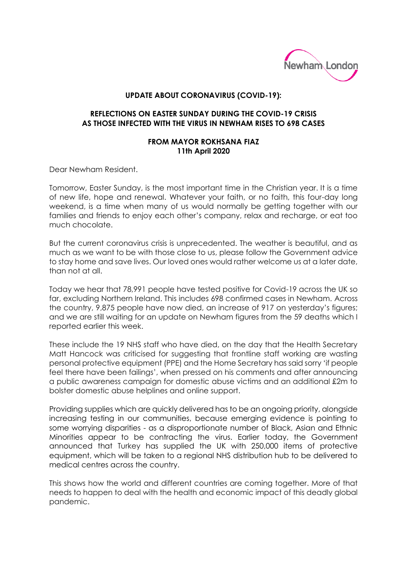

## **UPDATE ABOUT CORONAVIRUS (COVID-19):**

## **REFLECTIONS ON EASTER SUNDAY DURING THE COVID-19 CRISIS AS THOSE INFECTED WITH THE VIRUS IN NEWHAM RISES TO 698 CASES**

## **FROM MAYOR ROKHSANA FIAZ 11th April 2020**

Dear Newham Resident.

Tomorrow, Easter Sunday, is the most important time in the Christian year. It is a time of new life, hope and renewal. Whatever your faith, or no faith, this four-day long weekend, is a time when many of us would normally be getting together with our families and friends to enjoy each other's company, relax and recharge, or eat too much chocolate.

But the current coronavirus crisis is unprecedented. The weather is beautiful, and as much as we want to be with those close to us, please follow the Government advice to stay home and save lives. Our loved ones would rather welcome us at a later date, than not at all.

Today we hear that 78,991 people have tested positive for Covid-19 across the UK so far, excluding Northern Ireland. This includes 698 confirmed cases in Newham. Across the country, 9,875 people have now died, an increase of 917 on yesterday's figures; and we are still waiting for an update on Newham figures from the 59 deaths which I reported earlier this week.

These include the 19 NHS staff who have died, on the day that the Health Secretary Matt Hancock was criticised for suggesting that frontline staff working are wasting personal protective equipment (PPE) and the Home Secretary has said sorry 'if people feel there have been failings', when pressed on his comments and after announcing a public awareness campaign for domestic abuse victims and an additional £2m to bolster domestic abuse helplines and online support.

Providing supplies which are quickly delivered has to be an ongoing priority, alongside increasing testing in our communities, because emerging evidence is pointing to some worrying disparities - as a disproportionate number of Black, Asian and Ethnic Minorities appear to be contracting the virus. Earlier today, the Government announced that Turkey has supplied the UK with 250,000 items of protective equipment, which will be taken to a regional NHS distribution hub to be delivered to medical centres across the country.

This shows how the world and different countries are coming together. More of that needs to happen to deal with the health and economic impact of this deadly global pandemic.